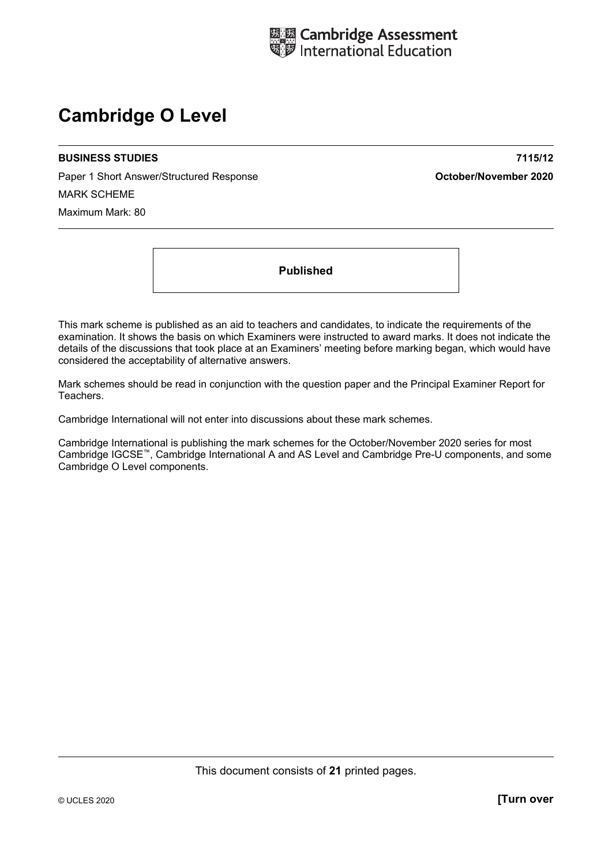

# **Cambridge O Level**

Paper 1 Short Answer/Structured Response **October/November 2020** MARK SCHEME Maximum Mark: 80

**BUSINESS STUDIES 7115/12** 

**Published** 

This mark scheme is published as an aid to teachers and candidates, to indicate the requirements of the examination. It shows the basis on which Examiners were instructed to award marks. It does not indicate the details of the discussions that took place at an Examiners' meeting before marking began, which would have considered the acceptability of alternative answers.

Mark schemes should be read in conjunction with the question paper and the Principal Examiner Report for Teachers.

Cambridge International will not enter into discussions about these mark schemes.

Cambridge International is publishing the mark schemes for the October/November 2020 series for most Cambridge IGCSE™, Cambridge International A and AS Level and Cambridge Pre-U components, and some Cambridge O Level components.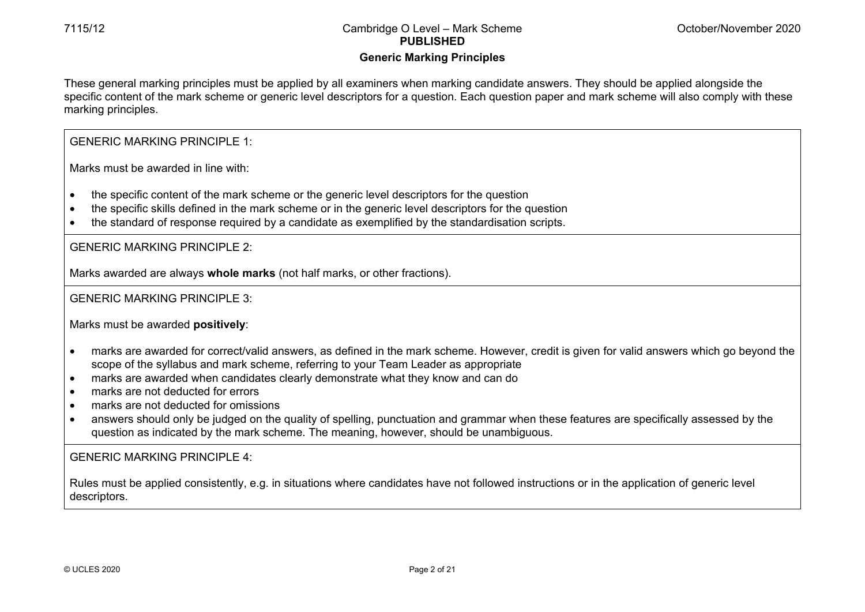# **Generic Marking Principles**

These general marking principles must be applied by all examiners when marking candidate answers. They should be applied alongside the specific content of the mark scheme or generic level descriptors for a question. Each question paper and mark scheme will also comply with these marking principles.

# GENERIC MARKING PRINCIPLE 1:

Marks must be awarded in line with:

- the specific content of the mark scheme or the generic level descriptors for the question
- the specific skills defined in the mark scheme or in the generic level descriptors for the question
- the standard of response required by a candidate as exemplified by the standardisation scripts.

GENERIC MARKING PRINCIPLE 2:

Marks awarded are always **whole marks** (not half marks, or other fractions).

# GENERIC MARKING PRINCIPLE 3:

Marks must be awarded **positively**:

- marks are awarded for correct/valid answers, as defined in the mark scheme. However, credit is given for valid answers which go beyond the scope of the syllabus and mark scheme, referring to your Team Leader as appropriate
- marks are awarded when candidates clearly demonstrate what they know and can do
- marks are not deducted for errors
- marks are not deducted for omissions
- answers should only be judged on the quality of spelling, punctuation and grammar when these features are specifically assessed by the question as indicated by the mark scheme. The meaning, however, should be unambiguous.

GENERIC MARKING PRINCIPLE  $4$ 

Rules must be applied consistently, e.g. in situations where candidates have not followed instructions or in the application of generic level descriptors.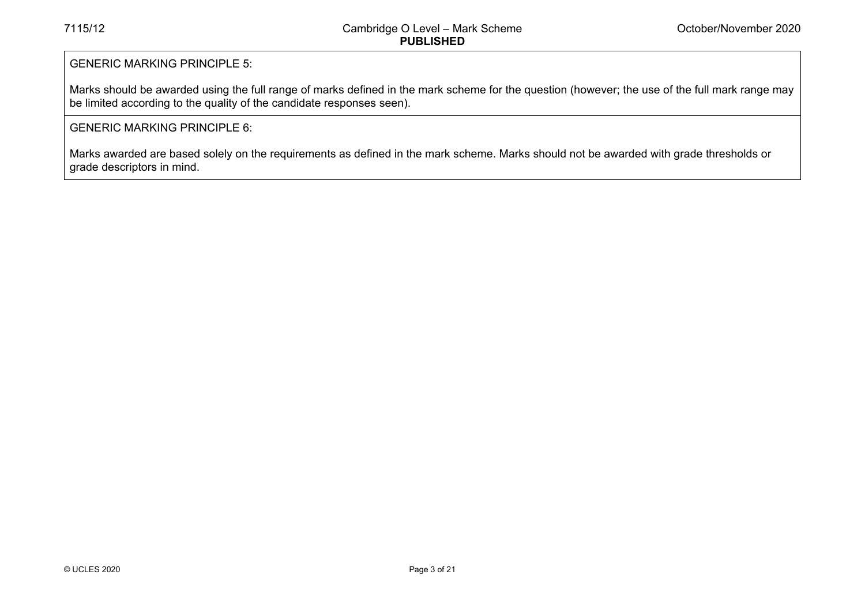# GENERIC MARKING PRINCIPLE 5:

Marks should be awarded using the full range of marks defined in the mark scheme for the question (however; the use of the full mark range may be limited according to the quality of the candidate responses seen).

# GENERIC MARKING PRINCIPLE 6:

Marks awarded are based solely on the requirements as defined in the mark scheme. Marks should not be awarded with grade thresholds or grade descriptors in mind.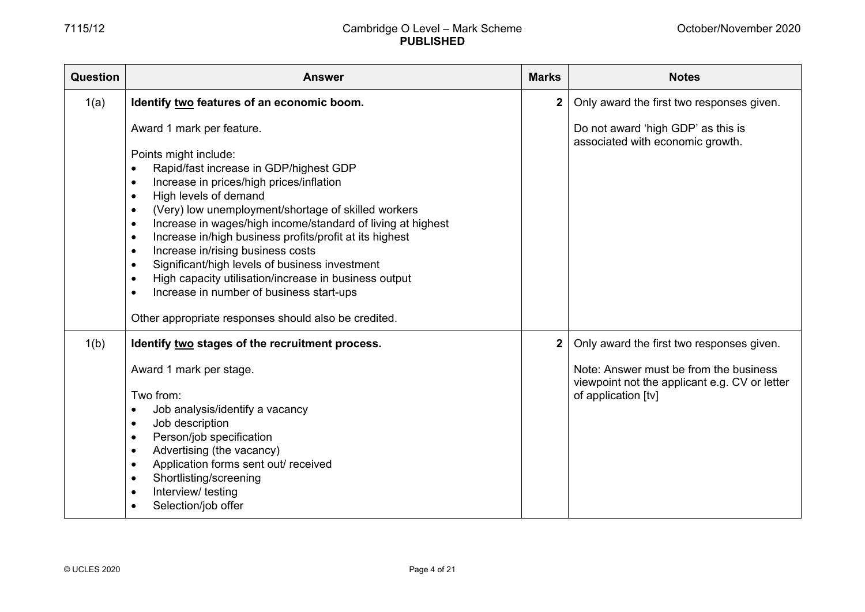| Question | <b>Answer</b>                                                                                                                                                                                                                                                                                                                                                                                                                                                                                                                                                      | <b>Marks</b> | <b>Notes</b>                                                                                                                                                |
|----------|--------------------------------------------------------------------------------------------------------------------------------------------------------------------------------------------------------------------------------------------------------------------------------------------------------------------------------------------------------------------------------------------------------------------------------------------------------------------------------------------------------------------------------------------------------------------|--------------|-------------------------------------------------------------------------------------------------------------------------------------------------------------|
| 1(a)     | Identify two features of an economic boom.<br>Award 1 mark per feature.<br>Points might include:<br>Rapid/fast increase in GDP/highest GDP<br>Increase in prices/high prices/inflation<br>$\bullet$                                                                                                                                                                                                                                                                                                                                                                | $\mathbf{2}$ | Only award the first two responses given.<br>Do not award 'high GDP' as this is<br>associated with economic growth.                                         |
|          | High levels of demand<br>$\bullet$<br>(Very) low unemployment/shortage of skilled workers<br>$\bullet$<br>Increase in wages/high income/standard of living at highest<br>$\bullet$<br>Increase in/high business profits/profit at its highest<br>$\bullet$<br>Increase in/rising business costs<br>$\bullet$<br>Significant/high levels of business investment<br>$\bullet$<br>High capacity utilisation/increase in business output<br>$\bullet$<br>Increase in number of business start-ups<br>$\bullet$<br>Other appropriate responses should also be credited. |              |                                                                                                                                                             |
| 1(b)     | Identify two stages of the recruitment process.<br>Award 1 mark per stage.<br>Two from:<br>Job analysis/identify a vacancy<br>$\bullet$<br>Job description<br>$\bullet$<br>Person/job specification<br>$\bullet$<br>Advertising (the vacancy)<br>$\bullet$<br>Application forms sent out/ received<br>$\bullet$<br>Shortlisting/screening<br>$\bullet$<br>Interview/ testing<br>$\bullet$<br>Selection/job offer                                                                                                                                                   | $\mathbf{2}$ | Only award the first two responses given.<br>Note: Answer must be from the business<br>viewpoint not the applicant e.g. CV or letter<br>of application [tv] |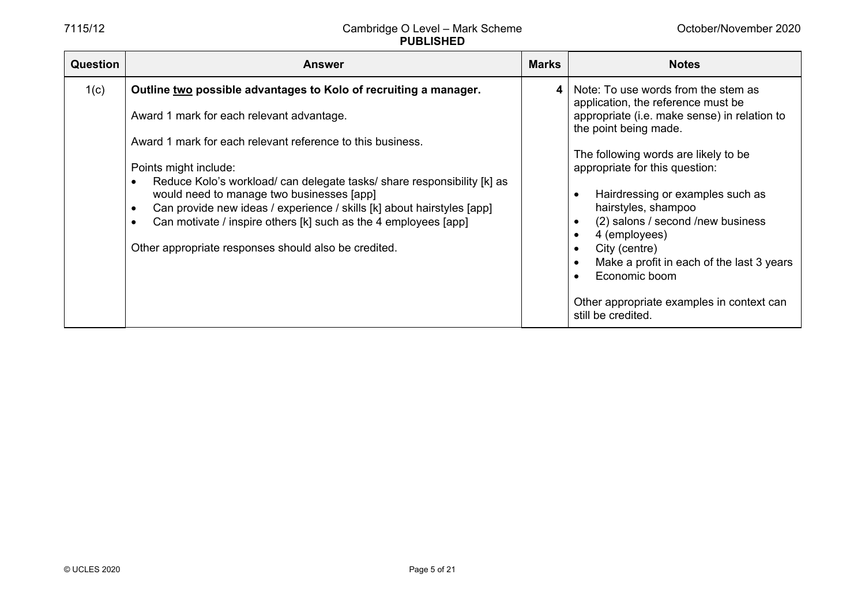| Question | <b>Answer</b>                                                                                                                                                                                                                                                                                                                                                                                                                                                                                                                                | <b>Marks</b> | <b>Notes</b>                                                                                                                                                                                                                                                                                                                                                                                                                                                                                    |
|----------|----------------------------------------------------------------------------------------------------------------------------------------------------------------------------------------------------------------------------------------------------------------------------------------------------------------------------------------------------------------------------------------------------------------------------------------------------------------------------------------------------------------------------------------------|--------------|-------------------------------------------------------------------------------------------------------------------------------------------------------------------------------------------------------------------------------------------------------------------------------------------------------------------------------------------------------------------------------------------------------------------------------------------------------------------------------------------------|
| 1(c)     | Outline two possible advantages to Kolo of recruiting a manager.<br>Award 1 mark for each relevant advantage.<br>Award 1 mark for each relevant reference to this business.<br>Points might include:<br>Reduce Kolo's workload/can delegate tasks/share responsibility [k] as<br>would need to manage two businesses [app]<br>Can provide new ideas / experience / skills [k] about hairstyles [app]<br>$\bullet$<br>Can motivate / inspire others [k] such as the 4 employees [app]<br>Other appropriate responses should also be credited. | 4            | Note: To use words from the stem as<br>application, the reference must be<br>appropriate (i.e. make sense) in relation to<br>the point being made.<br>The following words are likely to be<br>appropriate for this question:<br>Hairdressing or examples such as<br>hairstyles, shampoo<br>(2) salons / second /new business<br>4 (employees)<br>City (centre)<br>Make a profit in each of the last 3 years<br>Economic boom<br>Other appropriate examples in context can<br>still be credited. |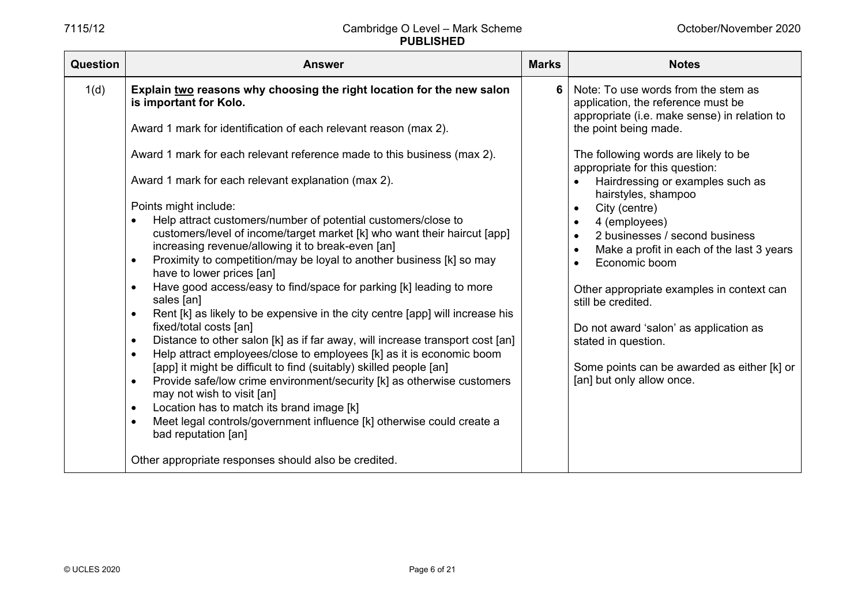| <b>Question</b> | <b>Answer</b>                                                                                                                                                                                                                                                                                                                                                                                                                                                                                                                                                                                                                                                                                                                                                                                                                                                                                                                                                                                                                                                                                                                                                                                                                                                                                                                                                                                                                                                                | <b>Marks</b> | <b>Notes</b>                                                                                                                                                                                                                                                                                                                                                                                                                                                                                                                                                                                                                              |
|-----------------|------------------------------------------------------------------------------------------------------------------------------------------------------------------------------------------------------------------------------------------------------------------------------------------------------------------------------------------------------------------------------------------------------------------------------------------------------------------------------------------------------------------------------------------------------------------------------------------------------------------------------------------------------------------------------------------------------------------------------------------------------------------------------------------------------------------------------------------------------------------------------------------------------------------------------------------------------------------------------------------------------------------------------------------------------------------------------------------------------------------------------------------------------------------------------------------------------------------------------------------------------------------------------------------------------------------------------------------------------------------------------------------------------------------------------------------------------------------------------|--------------|-------------------------------------------------------------------------------------------------------------------------------------------------------------------------------------------------------------------------------------------------------------------------------------------------------------------------------------------------------------------------------------------------------------------------------------------------------------------------------------------------------------------------------------------------------------------------------------------------------------------------------------------|
| 1(d)            | Explain two reasons why choosing the right location for the new salon<br>is important for Kolo.<br>Award 1 mark for identification of each relevant reason (max 2).<br>Award 1 mark for each relevant reference made to this business (max 2).<br>Award 1 mark for each relevant explanation (max 2).<br>Points might include:<br>Help attract customers/number of potential customers/close to<br>customers/level of income/target market [k] who want their haircut [app]<br>increasing revenue/allowing it to break-even [an]<br>Proximity to competition/may be loyal to another business [k] so may<br>$\bullet$<br>have to lower prices [an]<br>Have good access/easy to find/space for parking [k] leading to more<br>$\bullet$<br>sales [an]<br>Rent [k] as likely to be expensive in the city centre [app] will increase his<br>$\bullet$<br>fixed/total costs [an]<br>Distance to other salon [k] as if far away, will increase transport cost [an]<br>$\bullet$<br>Help attract employees/close to employees [k] as it is economic boom<br>[app] it might be difficult to find (suitably) skilled people [an]<br>Provide safe/low crime environment/security [k] as otherwise customers<br>$\bullet$<br>may not wish to visit [an]<br>Location has to match its brand image [k]<br>$\bullet$<br>Meet legal controls/government influence [k] otherwise could create a<br>$\bullet$<br>bad reputation [an]<br>Other appropriate responses should also be credited. | 6            | Note: To use words from the stem as<br>application, the reference must be<br>appropriate (i.e. make sense) in relation to<br>the point being made.<br>The following words are likely to be<br>appropriate for this question:<br>Hairdressing or examples such as<br>hairstyles, shampoo<br>City (centre)<br>4 (employees)<br>2 businesses / second business<br>Make a profit in each of the last 3 years<br>Economic boom<br>Other appropriate examples in context can<br>still be credited.<br>Do not award 'salon' as application as<br>stated in question.<br>Some points can be awarded as either [k] or<br>[an] but only allow once. |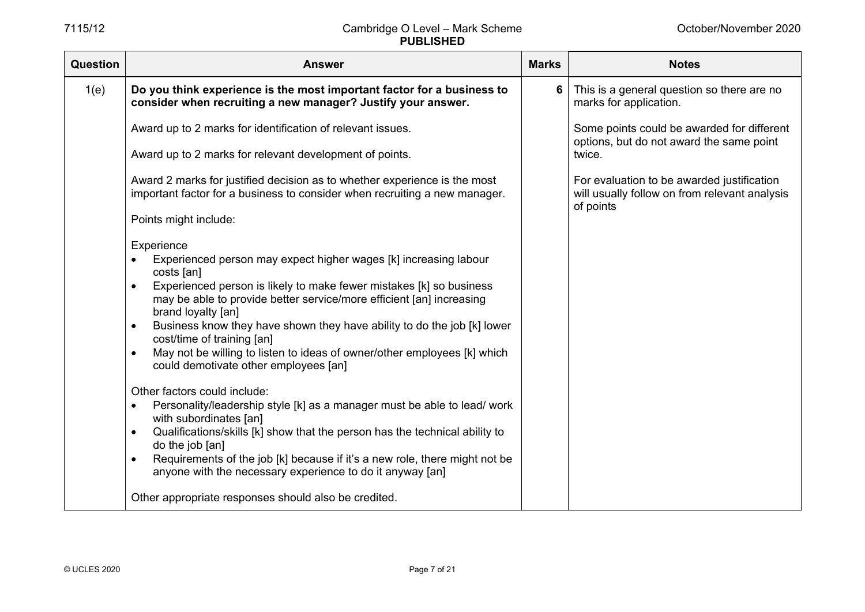| <b>Question</b> | <b>Answer</b>                                                                                                                                                                  | <b>Marks</b> | <b>Notes</b>                                                                                             |
|-----------------|--------------------------------------------------------------------------------------------------------------------------------------------------------------------------------|--------------|----------------------------------------------------------------------------------------------------------|
| 1(e)            | Do you think experience is the most important factor for a business to<br>consider when recruiting a new manager? Justify your answer.                                         | 6            | This is a general question so there are no<br>marks for application.                                     |
|                 | Award up to 2 marks for identification of relevant issues.                                                                                                                     |              | Some points could be awarded for different<br>options, but do not award the same point                   |
|                 | Award up to 2 marks for relevant development of points.                                                                                                                        |              | twice.                                                                                                   |
|                 | Award 2 marks for justified decision as to whether experience is the most<br>important factor for a business to consider when recruiting a new manager.                        |              | For evaluation to be awarded justification<br>will usually follow on from relevant analysis<br>of points |
|                 | Points might include:                                                                                                                                                          |              |                                                                                                          |
|                 | Experience                                                                                                                                                                     |              |                                                                                                          |
|                 | Experienced person may expect higher wages [k] increasing labour<br>$\bullet$<br>costs [an]                                                                                    |              |                                                                                                          |
|                 | Experienced person is likely to make fewer mistakes [k] so business<br>$\bullet$<br>may be able to provide better service/more efficient [an] increasing<br>brand loyalty [an] |              |                                                                                                          |
|                 | Business know they have shown they have ability to do the job [k] lower<br>$\bullet$<br>cost/time of training [an]                                                             |              |                                                                                                          |
|                 | May not be willing to listen to ideas of owner/other employees [k] which<br>$\bullet$<br>could demotivate other employees [an]                                                 |              |                                                                                                          |
|                 | Other factors could include:                                                                                                                                                   |              |                                                                                                          |
|                 | Personality/leadership style [k] as a manager must be able to lead/ work<br>$\bullet$<br>with subordinates [an]                                                                |              |                                                                                                          |
|                 | Qualifications/skills [k] show that the person has the technical ability to<br>$\bullet$<br>do the job [an]                                                                    |              |                                                                                                          |
|                 | Requirements of the job [k] because if it's a new role, there might not be<br>$\bullet$<br>anyone with the necessary experience to do it anyway [an]                           |              |                                                                                                          |
|                 | Other appropriate responses should also be credited.                                                                                                                           |              |                                                                                                          |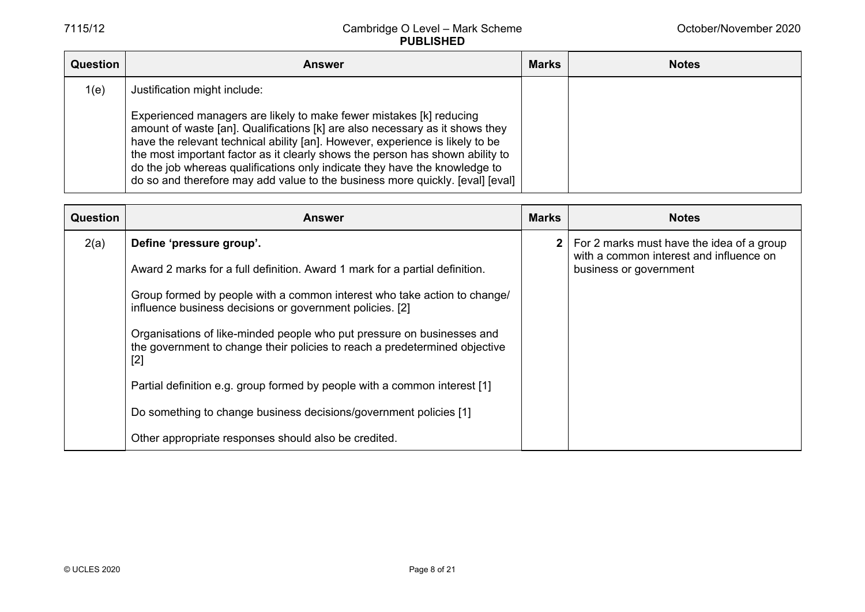| <b>Question</b> | Answer                                                                                                                                                                                                                                                                                                                                                                                                                                                                               | <b>Marks</b> | <b>Notes</b> |
|-----------------|--------------------------------------------------------------------------------------------------------------------------------------------------------------------------------------------------------------------------------------------------------------------------------------------------------------------------------------------------------------------------------------------------------------------------------------------------------------------------------------|--------------|--------------|
| 1(e)            | Justification might include:                                                                                                                                                                                                                                                                                                                                                                                                                                                         |              |              |
|                 | Experienced managers are likely to make fewer mistakes [k] reducing<br>amount of waste [an]. Qualifications [k] are also necessary as it shows they<br>have the relevant technical ability [an]. However, experience is likely to be<br>the most important factor as it clearly shows the person has shown ability to<br>do the job whereas qualifications only indicate they have the knowledge to<br>do so and therefore may add value to the business more quickly. [eval] [eval] |              |              |

| <b>Question</b> | <b>Answer</b>                                                                                                                                               | <b>Marks</b>   | <b>Notes</b>                                                                         |
|-----------------|-------------------------------------------------------------------------------------------------------------------------------------------------------------|----------------|--------------------------------------------------------------------------------------|
| 2(a)            | Define 'pressure group'.                                                                                                                                    | $\overline{2}$ | For 2 marks must have the idea of a group<br>with a common interest and influence on |
|                 | Award 2 marks for a full definition. Award 1 mark for a partial definition.                                                                                 |                | business or government                                                               |
|                 | Group formed by people with a common interest who take action to change/<br>influence business decisions or government policies. [2]                        |                |                                                                                      |
|                 | Organisations of like-minded people who put pressure on businesses and<br>the government to change their policies to reach a predetermined objective<br>[2] |                |                                                                                      |
|                 | Partial definition e.g. group formed by people with a common interest [1]                                                                                   |                |                                                                                      |
|                 | Do something to change business decisions/government policies [1]                                                                                           |                |                                                                                      |
|                 | Other appropriate responses should also be credited.                                                                                                        |                |                                                                                      |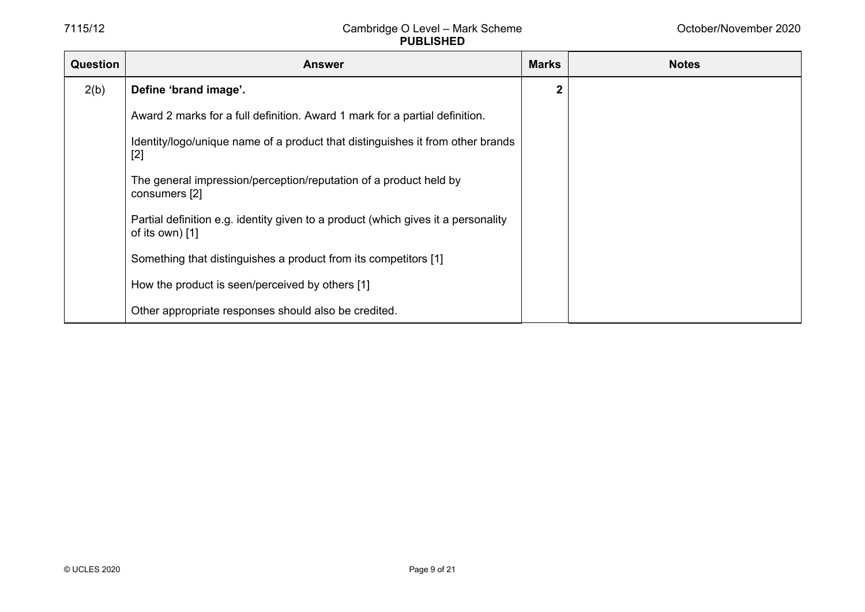| <b>Question</b> | <b>Answer</b>                                                                                          | <b>Marks</b>   | <b>Notes</b> |
|-----------------|--------------------------------------------------------------------------------------------------------|----------------|--------------|
| 2(b)            | Define 'brand image'.                                                                                  | $\overline{2}$ |              |
|                 | Award 2 marks for a full definition. Award 1 mark for a partial definition.                            |                |              |
|                 | Identity/logo/unique name of a product that distinguishes it from other brands<br>[2]                  |                |              |
|                 | The general impression/perception/reputation of a product held by<br>consumers [2]                     |                |              |
|                 | Partial definition e.g. identity given to a product (which gives it a personality<br>of its own) $[1]$ |                |              |
|                 | Something that distinguishes a product from its competitors [1]                                        |                |              |
|                 | How the product is seen/perceived by others [1]                                                        |                |              |
|                 | Other appropriate responses should also be credited.                                                   |                |              |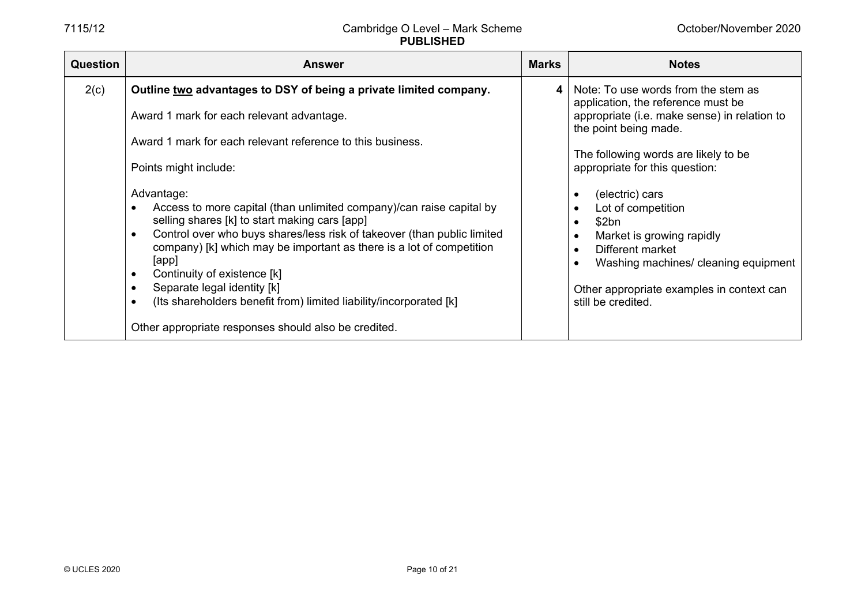| <b>Question</b> | <b>Answer</b>                                                                                                                                                                                                                                                                                                                                                                                                                                                                                                                                                                                                                                                                                        | <b>Marks</b> | <b>Notes</b>                                                                                                                                                                                                                                                                                                                                                                                                                               |
|-----------------|------------------------------------------------------------------------------------------------------------------------------------------------------------------------------------------------------------------------------------------------------------------------------------------------------------------------------------------------------------------------------------------------------------------------------------------------------------------------------------------------------------------------------------------------------------------------------------------------------------------------------------------------------------------------------------------------------|--------------|--------------------------------------------------------------------------------------------------------------------------------------------------------------------------------------------------------------------------------------------------------------------------------------------------------------------------------------------------------------------------------------------------------------------------------------------|
| 2(c)            | Outline two advantages to DSY of being a private limited company.<br>Award 1 mark for each relevant advantage.<br>Award 1 mark for each relevant reference to this business.<br>Points might include:<br>Advantage:<br>Access to more capital (than unlimited company)/can raise capital by<br>selling shares [k] to start making cars [app]<br>Control over who buys shares/less risk of takeover (than public limited<br>company) [k] which may be important as there is a lot of competition<br>[app]<br>Continuity of existence [k]<br>Separate legal identity [k]<br>(Its shareholders benefit from) limited liability/incorporated [k]<br>Other appropriate responses should also be credited. | 4            | Note: To use words from the stem as<br>application, the reference must be<br>appropriate (i.e. make sense) in relation to<br>the point being made.<br>The following words are likely to be<br>appropriate for this question:<br>(electric) cars<br>Lot of competition<br>\$2bn<br>Market is growing rapidly<br>Different market<br>Washing machines/ cleaning equipment<br>Other appropriate examples in context can<br>still be credited. |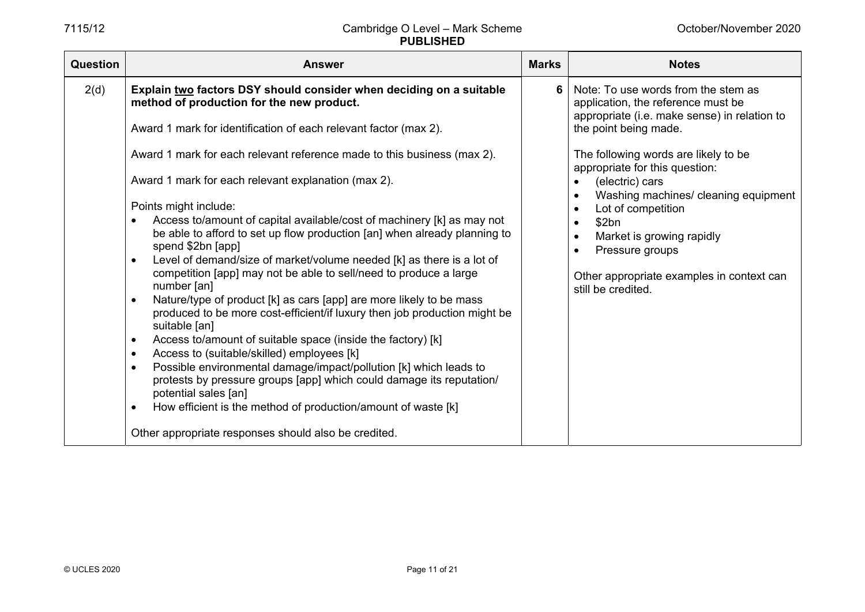| Question | <b>Answer</b>                                                                                                                                                                                                                                                                                                                                                                                                                                                                                                                                                                                                                                                                                                                                                                                                                                                                                                                                                                                                                                                                                                                                                                                                                                                            | <b>Marks</b> | <b>Notes</b>                                                                                                                                                                                                                                                                                                                                                                                                                                                                                               |
|----------|--------------------------------------------------------------------------------------------------------------------------------------------------------------------------------------------------------------------------------------------------------------------------------------------------------------------------------------------------------------------------------------------------------------------------------------------------------------------------------------------------------------------------------------------------------------------------------------------------------------------------------------------------------------------------------------------------------------------------------------------------------------------------------------------------------------------------------------------------------------------------------------------------------------------------------------------------------------------------------------------------------------------------------------------------------------------------------------------------------------------------------------------------------------------------------------------------------------------------------------------------------------------------|--------------|------------------------------------------------------------------------------------------------------------------------------------------------------------------------------------------------------------------------------------------------------------------------------------------------------------------------------------------------------------------------------------------------------------------------------------------------------------------------------------------------------------|
| 2(d)     | Explain two factors DSY should consider when deciding on a suitable<br>method of production for the new product.<br>Award 1 mark for identification of each relevant factor (max 2).<br>Award 1 mark for each relevant reference made to this business (max 2).<br>Award 1 mark for each relevant explanation (max 2).<br>Points might include:<br>Access to/amount of capital available/cost of machinery [k] as may not<br>be able to afford to set up flow production [an] when already planning to<br>spend \$2bn [app]<br>Level of demand/size of market/volume needed [k] as there is a lot of<br>competition [app] may not be able to sell/need to produce a large<br>number [an]<br>Nature/type of product [k] as cars [app] are more likely to be mass<br>produced to be more cost-efficient/if luxury then job production might be<br>suitable [an]<br>Access to/amount of suitable space (inside the factory) [k]<br>Access to (suitable/skilled) employees [k]<br>Possible environmental damage/impact/pollution [k] which leads to<br>protests by pressure groups [app] which could damage its reputation/<br>potential sales [an]<br>How efficient is the method of production/amount of waste [k]<br>Other appropriate responses should also be credited. | 6            | Note: To use words from the stem as<br>application, the reference must be<br>appropriate (i.e. make sense) in relation to<br>the point being made.<br>The following words are likely to be<br>appropriate for this question:<br>(electric) cars<br>Washing machines/ cleaning equipment<br>$\bullet$<br>Lot of competition<br>$\bullet$<br>\$2bn<br>$\bullet$<br>Market is growing rapidly<br>$\bullet$<br>Pressure groups<br>$\bullet$<br>Other appropriate examples in context can<br>still be credited. |
|          |                                                                                                                                                                                                                                                                                                                                                                                                                                                                                                                                                                                                                                                                                                                                                                                                                                                                                                                                                                                                                                                                                                                                                                                                                                                                          |              |                                                                                                                                                                                                                                                                                                                                                                                                                                                                                                            |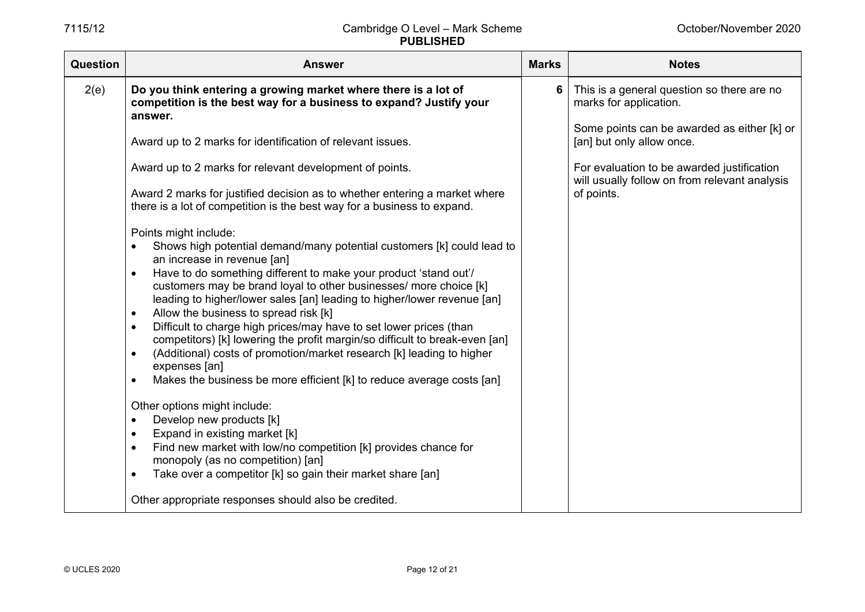| This is a general question so there are no<br>2(e)<br>Do you think entering a growing market where there is a lot of<br>6<br>competition is the best way for a business to expand? Justify your<br>marks for application.<br>answer.<br>Award up to 2 marks for identification of relevant issues.<br>[an] but only allow once.<br>Award up to 2 marks for relevant development of points.<br>For evaluation to be awarded justification<br>will usually follow on from relevant analysis<br>Award 2 marks for justified decision as to whether entering a market where<br>of points.<br>there is a lot of competition is the best way for a business to expand.<br>Points might include:<br>Shows high potential demand/many potential customers [k] could lead to<br>an increase in revenue [an]<br>Have to do something different to make your product 'stand out'/<br>customers may be brand loyal to other businesses/ more choice [k]<br>leading to higher/lower sales [an] leading to higher/lower revenue [an]<br>Allow the business to spread risk [k]<br>$\bullet$<br>Difficult to charge high prices/may have to set lower prices (than<br>$\bullet$<br>competitors) [k] lowering the profit margin/so difficult to break-even [an]<br>(Additional) costs of promotion/market research [k] leading to higher<br>expenses [an]<br>Makes the business be more efficient [k] to reduce average costs [an]<br>Other options might include:<br>Develop new products [k]<br>$\bullet$<br>Expand in existing market [k]<br>Find new market with low/no competition [k] provides chance for<br>monopoly (as no competition) [an]<br>Take over a competitor [k] so gain their market share [an]<br>$\bullet$<br>Other appropriate responses should also be credited. | Question | <b>Answer</b> | <b>Marks</b> | <b>Notes</b>                                |
|------------------------------------------------------------------------------------------------------------------------------------------------------------------------------------------------------------------------------------------------------------------------------------------------------------------------------------------------------------------------------------------------------------------------------------------------------------------------------------------------------------------------------------------------------------------------------------------------------------------------------------------------------------------------------------------------------------------------------------------------------------------------------------------------------------------------------------------------------------------------------------------------------------------------------------------------------------------------------------------------------------------------------------------------------------------------------------------------------------------------------------------------------------------------------------------------------------------------------------------------------------------------------------------------------------------------------------------------------------------------------------------------------------------------------------------------------------------------------------------------------------------------------------------------------------------------------------------------------------------------------------------------------------------------------------------------------------------------------------------------------------------------|----------|---------------|--------------|---------------------------------------------|
|                                                                                                                                                                                                                                                                                                                                                                                                                                                                                                                                                                                                                                                                                                                                                                                                                                                                                                                                                                                                                                                                                                                                                                                                                                                                                                                                                                                                                                                                                                                                                                                                                                                                                                                                                                        |          |               |              |                                             |
|                                                                                                                                                                                                                                                                                                                                                                                                                                                                                                                                                                                                                                                                                                                                                                                                                                                                                                                                                                                                                                                                                                                                                                                                                                                                                                                                                                                                                                                                                                                                                                                                                                                                                                                                                                        |          |               |              | Some points can be awarded as either [k] or |
|                                                                                                                                                                                                                                                                                                                                                                                                                                                                                                                                                                                                                                                                                                                                                                                                                                                                                                                                                                                                                                                                                                                                                                                                                                                                                                                                                                                                                                                                                                                                                                                                                                                                                                                                                                        |          |               |              |                                             |
|                                                                                                                                                                                                                                                                                                                                                                                                                                                                                                                                                                                                                                                                                                                                                                                                                                                                                                                                                                                                                                                                                                                                                                                                                                                                                                                                                                                                                                                                                                                                                                                                                                                                                                                                                                        |          |               |              |                                             |
|                                                                                                                                                                                                                                                                                                                                                                                                                                                                                                                                                                                                                                                                                                                                                                                                                                                                                                                                                                                                                                                                                                                                                                                                                                                                                                                                                                                                                                                                                                                                                                                                                                                                                                                                                                        |          |               |              |                                             |
|                                                                                                                                                                                                                                                                                                                                                                                                                                                                                                                                                                                                                                                                                                                                                                                                                                                                                                                                                                                                                                                                                                                                                                                                                                                                                                                                                                                                                                                                                                                                                                                                                                                                                                                                                                        |          |               |              |                                             |
|                                                                                                                                                                                                                                                                                                                                                                                                                                                                                                                                                                                                                                                                                                                                                                                                                                                                                                                                                                                                                                                                                                                                                                                                                                                                                                                                                                                                                                                                                                                                                                                                                                                                                                                                                                        |          |               |              |                                             |
|                                                                                                                                                                                                                                                                                                                                                                                                                                                                                                                                                                                                                                                                                                                                                                                                                                                                                                                                                                                                                                                                                                                                                                                                                                                                                                                                                                                                                                                                                                                                                                                                                                                                                                                                                                        |          |               |              |                                             |
|                                                                                                                                                                                                                                                                                                                                                                                                                                                                                                                                                                                                                                                                                                                                                                                                                                                                                                                                                                                                                                                                                                                                                                                                                                                                                                                                                                                                                                                                                                                                                                                                                                                                                                                                                                        |          |               |              |                                             |
|                                                                                                                                                                                                                                                                                                                                                                                                                                                                                                                                                                                                                                                                                                                                                                                                                                                                                                                                                                                                                                                                                                                                                                                                                                                                                                                                                                                                                                                                                                                                                                                                                                                                                                                                                                        |          |               |              |                                             |
|                                                                                                                                                                                                                                                                                                                                                                                                                                                                                                                                                                                                                                                                                                                                                                                                                                                                                                                                                                                                                                                                                                                                                                                                                                                                                                                                                                                                                                                                                                                                                                                                                                                                                                                                                                        |          |               |              |                                             |
|                                                                                                                                                                                                                                                                                                                                                                                                                                                                                                                                                                                                                                                                                                                                                                                                                                                                                                                                                                                                                                                                                                                                                                                                                                                                                                                                                                                                                                                                                                                                                                                                                                                                                                                                                                        |          |               |              |                                             |
|                                                                                                                                                                                                                                                                                                                                                                                                                                                                                                                                                                                                                                                                                                                                                                                                                                                                                                                                                                                                                                                                                                                                                                                                                                                                                                                                                                                                                                                                                                                                                                                                                                                                                                                                                                        |          |               |              |                                             |
|                                                                                                                                                                                                                                                                                                                                                                                                                                                                                                                                                                                                                                                                                                                                                                                                                                                                                                                                                                                                                                                                                                                                                                                                                                                                                                                                                                                                                                                                                                                                                                                                                                                                                                                                                                        |          |               |              |                                             |
|                                                                                                                                                                                                                                                                                                                                                                                                                                                                                                                                                                                                                                                                                                                                                                                                                                                                                                                                                                                                                                                                                                                                                                                                                                                                                                                                                                                                                                                                                                                                                                                                                                                                                                                                                                        |          |               |              |                                             |
|                                                                                                                                                                                                                                                                                                                                                                                                                                                                                                                                                                                                                                                                                                                                                                                                                                                                                                                                                                                                                                                                                                                                                                                                                                                                                                                                                                                                                                                                                                                                                                                                                                                                                                                                                                        |          |               |              |                                             |
|                                                                                                                                                                                                                                                                                                                                                                                                                                                                                                                                                                                                                                                                                                                                                                                                                                                                                                                                                                                                                                                                                                                                                                                                                                                                                                                                                                                                                                                                                                                                                                                                                                                                                                                                                                        |          |               |              |                                             |
|                                                                                                                                                                                                                                                                                                                                                                                                                                                                                                                                                                                                                                                                                                                                                                                                                                                                                                                                                                                                                                                                                                                                                                                                                                                                                                                                                                                                                                                                                                                                                                                                                                                                                                                                                                        |          |               |              |                                             |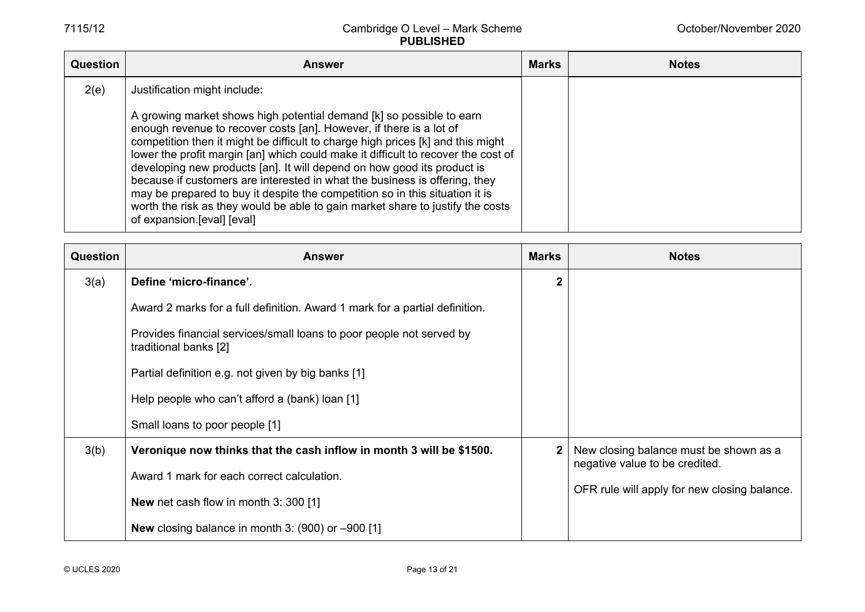| Question | Answer                                                                                                                                                                                                                                                                                                                                                                                                                                                                                                                                                                                                                                                                       | <b>Marks</b> | <b>Notes</b> |
|----------|------------------------------------------------------------------------------------------------------------------------------------------------------------------------------------------------------------------------------------------------------------------------------------------------------------------------------------------------------------------------------------------------------------------------------------------------------------------------------------------------------------------------------------------------------------------------------------------------------------------------------------------------------------------------------|--------------|--------------|
| 2(e)     | Justification might include:                                                                                                                                                                                                                                                                                                                                                                                                                                                                                                                                                                                                                                                 |              |              |
|          | A growing market shows high potential demand [k] so possible to earn<br>enough revenue to recover costs [an]. However, if there is a lot of<br>competition then it might be difficult to charge high prices [k] and this might<br>lower the profit margin [an] which could make it difficult to recover the cost of<br>developing new products [an]. It will depend on how good its product is<br>because if customers are interested in what the business is offering, they<br>may be prepared to buy it despite the competition so in this situation it is<br>worth the risk as they would be able to gain market share to justify the costs<br>of expansion.[eval] [eval] |              |              |

| <b>Question</b> | <b>Answer</b>                                                                                 | Marks          | <b>Notes</b>                                                             |
|-----------------|-----------------------------------------------------------------------------------------------|----------------|--------------------------------------------------------------------------|
| 3(a)            | Define 'micro-finance'.                                                                       | $\overline{2}$ |                                                                          |
|                 | Award 2 marks for a full definition. Award 1 mark for a partial definition.                   |                |                                                                          |
|                 | Provides financial services/small loans to poor people not served by<br>traditional banks [2] |                |                                                                          |
|                 | Partial definition e.g. not given by big banks [1]                                            |                |                                                                          |
|                 | Help people who can't afford a (bank) loan [1]                                                |                |                                                                          |
|                 | Small loans to poor people [1]                                                                |                |                                                                          |
| 3(b)            | Veronique now thinks that the cash inflow in month 3 will be \$1500.                          | $\mathbf{2}$   | New closing balance must be shown as a<br>negative value to be credited. |
|                 | Award 1 mark for each correct calculation.                                                    |                |                                                                          |
|                 | New net cash flow in month 3: 300 [1]                                                         |                | OFR rule will apply for new closing balance.                             |
|                 | <b>New</b> closing balance in month 3: $(900)$ or $-900$ [1]                                  |                |                                                                          |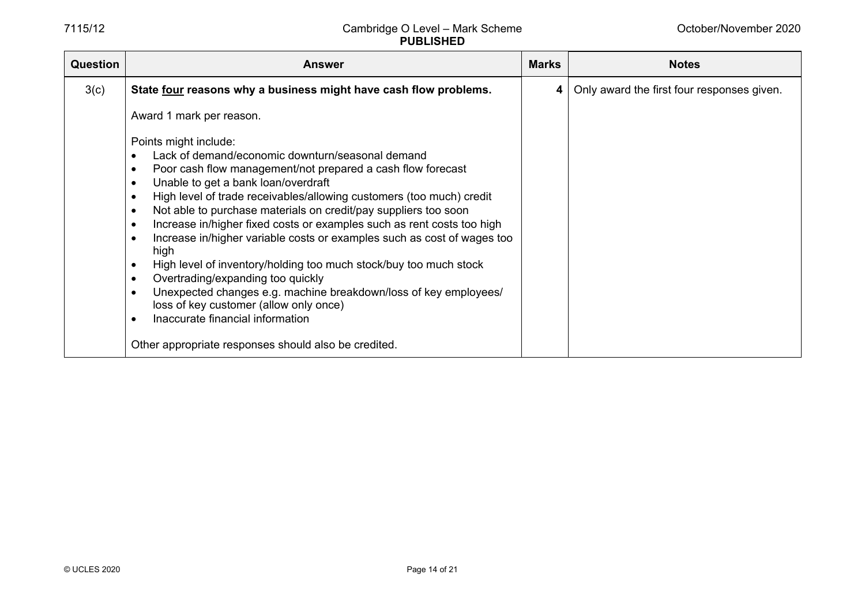| <b>Question</b> | <b>Answer</b>                                                                                                                                                                                                                                                                                                                                                                                                                                                                                                                                                                                                                                                                                                                                                                                                                 | <b>Marks</b> | <b>Notes</b>                               |
|-----------------|-------------------------------------------------------------------------------------------------------------------------------------------------------------------------------------------------------------------------------------------------------------------------------------------------------------------------------------------------------------------------------------------------------------------------------------------------------------------------------------------------------------------------------------------------------------------------------------------------------------------------------------------------------------------------------------------------------------------------------------------------------------------------------------------------------------------------------|--------------|--------------------------------------------|
| 3(c)            | State four reasons why a business might have cash flow problems.                                                                                                                                                                                                                                                                                                                                                                                                                                                                                                                                                                                                                                                                                                                                                              | 4            | Only award the first four responses given. |
|                 | Award 1 mark per reason.                                                                                                                                                                                                                                                                                                                                                                                                                                                                                                                                                                                                                                                                                                                                                                                                      |              |                                            |
|                 | Points might include:<br>Lack of demand/economic downturn/seasonal demand<br>Poor cash flow management/not prepared a cash flow forecast<br>٠<br>Unable to get a bank loan/overdraft<br>High level of trade receivables/allowing customers (too much) credit<br>Not able to purchase materials on credit/pay suppliers too soon<br>$\bullet$<br>Increase in/higher fixed costs or examples such as rent costs too high<br>Increase in/higher variable costs or examples such as cost of wages too<br>high<br>High level of inventory/holding too much stock/buy too much stock<br>Overtrading/expanding too quickly<br>Unexpected changes e.g. machine breakdown/loss of key employees/<br>loss of key customer (allow only once)<br>Inaccurate financial information<br>Other appropriate responses should also be credited. |              |                                            |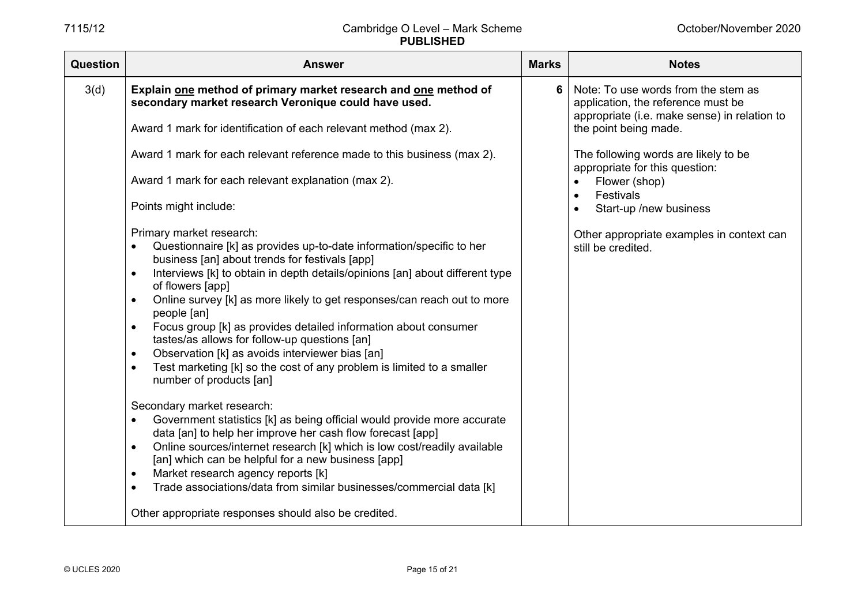| <b>Question</b> | <b>Answer</b>                                                                                                                       | <b>Marks</b> | <b>Notes</b>                                                                                                              |
|-----------------|-------------------------------------------------------------------------------------------------------------------------------------|--------------|---------------------------------------------------------------------------------------------------------------------------|
| 3(d)            | Explain one method of primary market research and one method of<br>secondary market research Veronique could have used.             | 6            | Note: To use words from the stem as<br>application, the reference must be<br>appropriate (i.e. make sense) in relation to |
|                 | Award 1 mark for identification of each relevant method (max 2).                                                                    |              | the point being made.                                                                                                     |
|                 | Award 1 mark for each relevant reference made to this business (max 2).                                                             |              | The following words are likely to be<br>appropriate for this question:                                                    |
|                 | Award 1 mark for each relevant explanation (max 2).                                                                                 |              | Flower (shop)<br>$\bullet$<br>Festivals<br>$\bullet$                                                                      |
|                 | Points might include:                                                                                                               |              | Start-up /new business<br>$\bullet$                                                                                       |
|                 | Primary market research:                                                                                                            |              | Other appropriate examples in context can                                                                                 |
|                 | Questionnaire [k] as provides up-to-date information/specific to her<br>$\bullet$<br>business [an] about trends for festivals [app] |              | still be credited.                                                                                                        |
|                 | Interviews [k] to obtain in depth details/opinions [an] about different type<br>$\bullet$<br>of flowers [app]                       |              |                                                                                                                           |
|                 | Online survey [k] as more likely to get responses/can reach out to more<br>$\bullet$<br>people [an]                                 |              |                                                                                                                           |
|                 | Focus group [k] as provides detailed information about consumer<br>$\bullet$<br>tastes/as allows for follow-up questions [an]       |              |                                                                                                                           |
|                 | Observation [k] as avoids interviewer bias [an]<br>$\bullet$                                                                        |              |                                                                                                                           |
|                 | Test marketing [k] so the cost of any problem is limited to a smaller<br>$\bullet$<br>number of products [an]                       |              |                                                                                                                           |
|                 | Secondary market research:                                                                                                          |              |                                                                                                                           |
|                 | Government statistics [k] as being official would provide more accurate<br>$\bullet$                                                |              |                                                                                                                           |
|                 | data [an] to help her improve her cash flow forecast [app]                                                                          |              |                                                                                                                           |
|                 | Online sources/internet research [k] which is low cost/readily available<br>$\bullet$                                               |              |                                                                                                                           |
|                 | [an] which can be helpful for a new business [app]<br>Market research agency reports [k]                                            |              |                                                                                                                           |
|                 | $\bullet$<br>Trade associations/data from similar businesses/commercial data [k]<br>$\bullet$                                       |              |                                                                                                                           |
|                 | Other appropriate responses should also be credited.                                                                                |              |                                                                                                                           |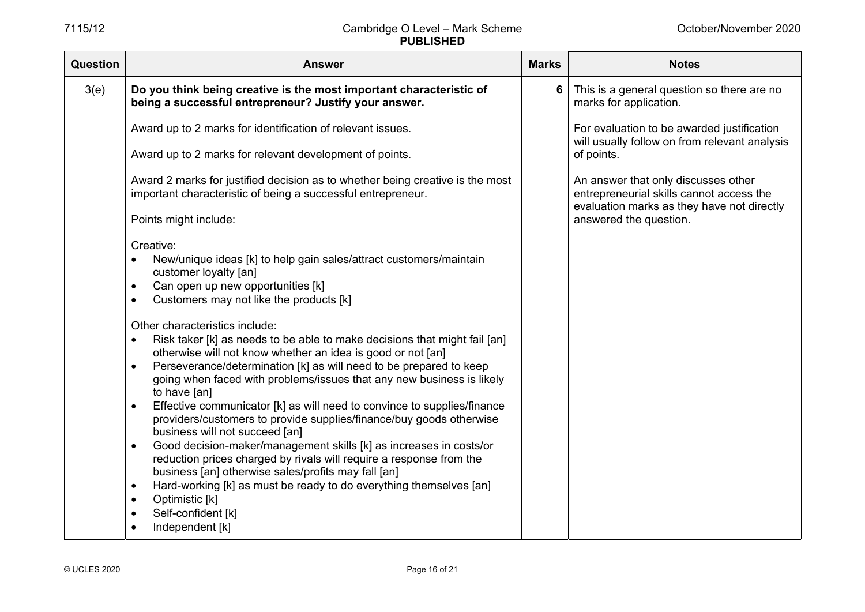| Question | <b>Answer</b>                                                                                                                                                                                                                                                                                                                                                                                                                                                                                                                                                                                                                                                                                                                                                                                           | <b>Marks</b> | <b>Notes</b>                                                                                                                  |
|----------|---------------------------------------------------------------------------------------------------------------------------------------------------------------------------------------------------------------------------------------------------------------------------------------------------------------------------------------------------------------------------------------------------------------------------------------------------------------------------------------------------------------------------------------------------------------------------------------------------------------------------------------------------------------------------------------------------------------------------------------------------------------------------------------------------------|--------------|-------------------------------------------------------------------------------------------------------------------------------|
| 3(e)     | Do you think being creative is the most important characteristic of<br>being a successful entrepreneur? Justify your answer.                                                                                                                                                                                                                                                                                                                                                                                                                                                                                                                                                                                                                                                                            | 6            | This is a general question so there are no<br>marks for application.                                                          |
|          | Award up to 2 marks for identification of relevant issues.                                                                                                                                                                                                                                                                                                                                                                                                                                                                                                                                                                                                                                                                                                                                              |              | For evaluation to be awarded justification<br>will usually follow on from relevant analysis                                   |
|          | Award up to 2 marks for relevant development of points.                                                                                                                                                                                                                                                                                                                                                                                                                                                                                                                                                                                                                                                                                                                                                 |              | of points.                                                                                                                    |
|          | Award 2 marks for justified decision as to whether being creative is the most<br>important characteristic of being a successful entrepreneur.                                                                                                                                                                                                                                                                                                                                                                                                                                                                                                                                                                                                                                                           |              | An answer that only discusses other<br>entrepreneurial skills cannot access the<br>evaluation marks as they have not directly |
|          | Points might include:                                                                                                                                                                                                                                                                                                                                                                                                                                                                                                                                                                                                                                                                                                                                                                                   |              | answered the question.                                                                                                        |
|          | Creative:<br>New/unique ideas [k] to help gain sales/attract customers/maintain<br>$\bullet$<br>customer loyalty [an]<br>Can open up new opportunities [k]<br>$\bullet$<br>Customers may not like the products [k]<br>$\bullet$<br>Other characteristics include:<br>Risk taker [k] as needs to be able to make decisions that might fail [an]<br>$\bullet$<br>otherwise will not know whether an idea is good or not [an]<br>Perseverance/determination [k] as will need to be prepared to keep<br>$\bullet$<br>going when faced with problems/issues that any new business is likely<br>to have [an]<br>Effective communicator [k] as will need to convince to supplies/finance<br>$\bullet$<br>providers/customers to provide supplies/finance/buy goods otherwise<br>business will not succeed [an] |              |                                                                                                                               |
|          | Good decision-maker/management skills [k] as increases in costs/or<br>$\bullet$<br>reduction prices charged by rivals will require a response from the<br>business [an] otherwise sales/profits may fall [an]<br>Hard-working [k] as must be ready to do everything themselves [an]<br>$\bullet$                                                                                                                                                                                                                                                                                                                                                                                                                                                                                                        |              |                                                                                                                               |
|          | Optimistic [k]<br>$\bullet$                                                                                                                                                                                                                                                                                                                                                                                                                                                                                                                                                                                                                                                                                                                                                                             |              |                                                                                                                               |
|          | Self-confident [k]<br>$\bullet$                                                                                                                                                                                                                                                                                                                                                                                                                                                                                                                                                                                                                                                                                                                                                                         |              |                                                                                                                               |
|          | Independent [k]<br>$\bullet$                                                                                                                                                                                                                                                                                                                                                                                                                                                                                                                                                                                                                                                                                                                                                                            |              |                                                                                                                               |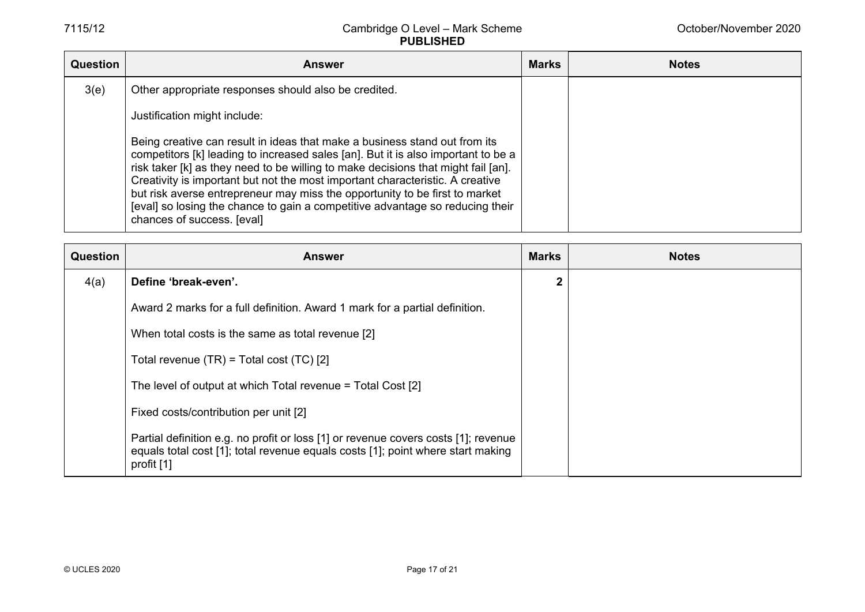| Question | <b>Answer</b>                                                                                                                                                                                                                                                                                                                                                                                                                                                                                                                       | <b>Marks</b> | <b>Notes</b> |
|----------|-------------------------------------------------------------------------------------------------------------------------------------------------------------------------------------------------------------------------------------------------------------------------------------------------------------------------------------------------------------------------------------------------------------------------------------------------------------------------------------------------------------------------------------|--------------|--------------|
| 3(e)     | Other appropriate responses should also be credited.                                                                                                                                                                                                                                                                                                                                                                                                                                                                                |              |              |
|          | Justification might include:                                                                                                                                                                                                                                                                                                                                                                                                                                                                                                        |              |              |
|          | Being creative can result in ideas that make a business stand out from its<br>competitors [k] leading to increased sales [an]. But it is also important to be a<br>risk taker [k] as they need to be willing to make decisions that might fail [an].<br>Creativity is important but not the most important characteristic. A creative<br>but risk averse entrepreneur may miss the opportunity to be first to market<br>[eval] so losing the chance to gain a competitive advantage so reducing their<br>chances of success. [eval] |              |              |

| <b>Question</b> | Answer                                                                                                                                                                              | <b>Marks</b> | <b>Notes</b> |
|-----------------|-------------------------------------------------------------------------------------------------------------------------------------------------------------------------------------|--------------|--------------|
| 4(a)            | Define 'break-even'.                                                                                                                                                                | $\mathbf{2}$ |              |
|                 | Award 2 marks for a full definition. Award 1 mark for a partial definition.                                                                                                         |              |              |
|                 | When total costs is the same as total revenue [2]                                                                                                                                   |              |              |
|                 | Total revenue $(TR)$ = Total cost $(TC)$ [2]                                                                                                                                        |              |              |
|                 | The level of output at which Total revenue = Total Cost [2]                                                                                                                         |              |              |
|                 | Fixed costs/contribution per unit [2]                                                                                                                                               |              |              |
|                 | Partial definition e.g. no profit or loss [1] or revenue covers costs [1]; revenue<br>equals total cost [1]; total revenue equals costs [1]; point where start making<br>profit [1] |              |              |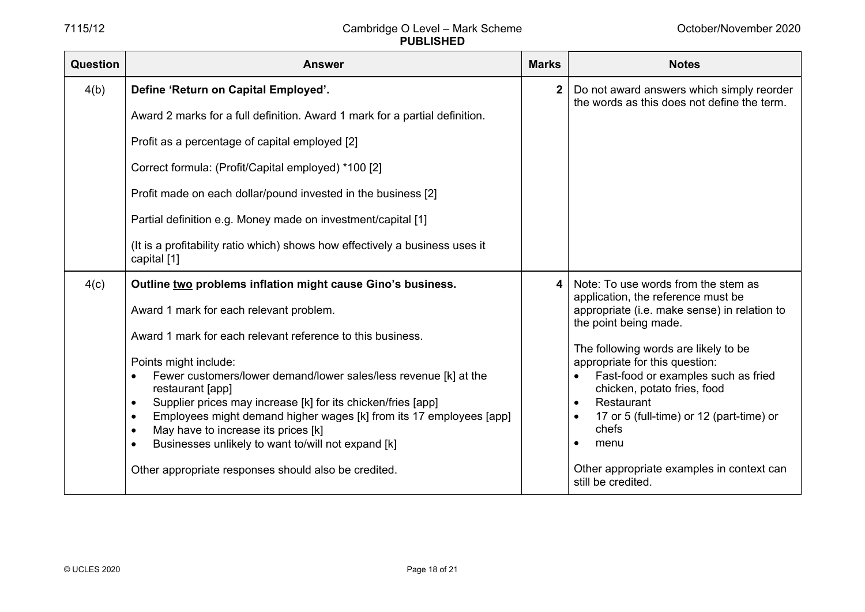| <b>Question</b> | <b>Answer</b>                                                                               | <b>Marks</b> | <b>Notes</b>                                                                             |
|-----------------|---------------------------------------------------------------------------------------------|--------------|------------------------------------------------------------------------------------------|
| 4(b)            | Define 'Return on Capital Employed'.                                                        | $\mathbf{2}$ | Do not award answers which simply reorder<br>the words as this does not define the term. |
|                 | Award 2 marks for a full definition. Award 1 mark for a partial definition.                 |              |                                                                                          |
|                 | Profit as a percentage of capital employed [2]                                              |              |                                                                                          |
|                 | Correct formula: (Profit/Capital employed) *100 [2]                                         |              |                                                                                          |
|                 | Profit made on each dollar/pound invested in the business [2]                               |              |                                                                                          |
|                 | Partial definition e.g. Money made on investment/capital [1]                                |              |                                                                                          |
|                 | (It is a profitability ratio which) shows how effectively a business uses it<br>capital [1] |              |                                                                                          |
| 4(c)            | Outline two problems inflation might cause Gino's business.                                 | 4            | Note: To use words from the stem as<br>application, the reference must be                |
|                 | Award 1 mark for each relevant problem.                                                     |              | appropriate (i.e. make sense) in relation to<br>the point being made.                    |
|                 | Award 1 mark for each relevant reference to this business.                                  |              | The following words are likely to be                                                     |
|                 | Points might include:                                                                       |              | appropriate for this question:                                                           |
|                 | Fewer customers/lower demand/lower sales/less revenue [k] at the<br>restaurant [app]        |              | Fast-food or examples such as fried<br>$\bullet$<br>chicken, potato fries, food          |
|                 | Supplier prices may increase [k] for its chicken/fries [app]                                |              | Restaurant                                                                               |
|                 | Employees might demand higher wages [k] from its 17 employees [app]                         |              | 17 or 5 (full-time) or 12 (part-time) or                                                 |
|                 | May have to increase its prices [k]                                                         |              | chefs                                                                                    |
|                 | Businesses unlikely to want to/will not expand [k]                                          |              | menu                                                                                     |
|                 | Other appropriate responses should also be credited.                                        |              | Other appropriate examples in context can<br>still be credited.                          |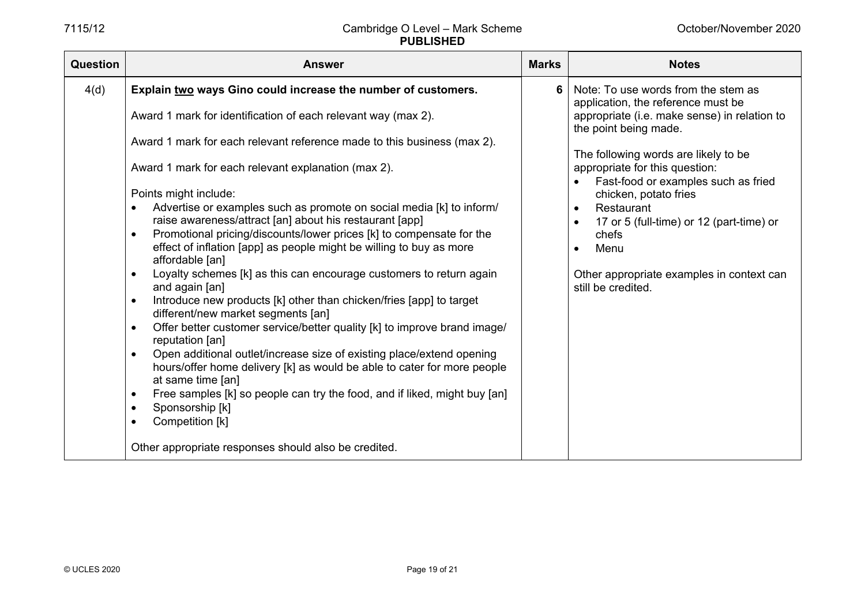| <b>Question</b> | <b>Answer</b>                                                                                                                                                                      | <b>Marks</b> | <b>Notes</b>                                                                                                  |
|-----------------|------------------------------------------------------------------------------------------------------------------------------------------------------------------------------------|--------------|---------------------------------------------------------------------------------------------------------------|
| 4(d)            | Explain two ways Gino could increase the number of customers.                                                                                                                      | 6            | Note: To use words from the stem as<br>application, the reference must be                                     |
|                 | Award 1 mark for identification of each relevant way (max 2).                                                                                                                      |              | appropriate (i.e. make sense) in relation to<br>the point being made.                                         |
|                 | Award 1 mark for each relevant reference made to this business (max 2).                                                                                                            |              |                                                                                                               |
|                 | Award 1 mark for each relevant explanation (max 2).                                                                                                                                |              | The following words are likely to be<br>appropriate for this question:<br>Fast-food or examples such as fried |
|                 | Points might include:                                                                                                                                                              |              | chicken, potato fries                                                                                         |
|                 | Advertise or examples such as promote on social media [k] to inform/                                                                                                               |              | Restaurant<br>$\bullet$                                                                                       |
|                 | raise awareness/attract [an] about his restaurant [app]<br>Promotional pricing/discounts/lower prices [k] to compensate for the<br>$\bullet$                                       |              | 17 or 5 (full-time) or 12 (part-time) or<br>chefs                                                             |
|                 | effect of inflation [app] as people might be willing to buy as more<br>affordable [an]                                                                                             |              | Menu                                                                                                          |
|                 | Loyalty schemes [k] as this can encourage customers to return again<br>and again [an]                                                                                              |              | Other appropriate examples in context can<br>still be credited.                                               |
|                 | Introduce new products [k] other than chicken/fries [app] to target<br>$\bullet$<br>different/new market segments [an]                                                             |              |                                                                                                               |
|                 | Offer better customer service/better quality [k] to improve brand image/<br>$\bullet$<br>reputation [an]                                                                           |              |                                                                                                               |
|                 | Open additional outlet/increase size of existing place/extend opening<br>$\bullet$<br>hours/offer home delivery [k] as would be able to cater for more people<br>at same time [an] |              |                                                                                                               |
|                 | Free samples [k] so people can try the food, and if liked, might buy [an]<br>$\bullet$                                                                                             |              |                                                                                                               |
|                 | Sponsorship [k]                                                                                                                                                                    |              |                                                                                                               |
|                 | Competition [k]                                                                                                                                                                    |              |                                                                                                               |
|                 | Other appropriate responses should also be credited.                                                                                                                               |              |                                                                                                               |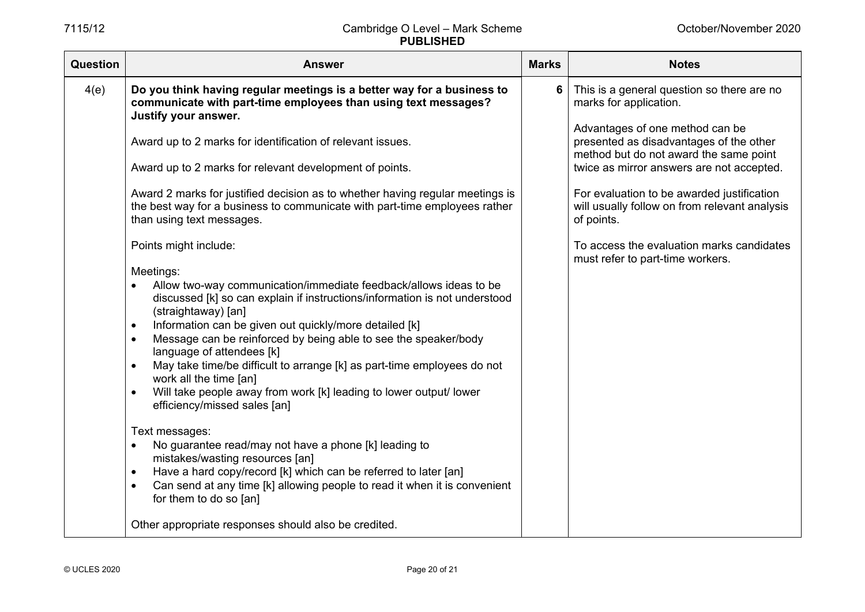| <b>Question</b> | <b>Answer</b>                                                                                                                                                                            | <b>Marks</b> | <b>Notes</b>                                                                                                         |
|-----------------|------------------------------------------------------------------------------------------------------------------------------------------------------------------------------------------|--------------|----------------------------------------------------------------------------------------------------------------------|
| 4(e)            | Do you think having regular meetings is a better way for a business to<br>communicate with part-time employees than using text messages?<br>Justify your answer.                         | 6            | This is a general question so there are no<br>marks for application.                                                 |
|                 | Award up to 2 marks for identification of relevant issues.                                                                                                                               |              | Advantages of one method can be<br>presented as disadvantages of the other<br>method but do not award the same point |
|                 | Award up to 2 marks for relevant development of points.                                                                                                                                  |              | twice as mirror answers are not accepted.                                                                            |
|                 | Award 2 marks for justified decision as to whether having regular meetings is<br>the best way for a business to communicate with part-time employees rather<br>than using text messages. |              | For evaluation to be awarded justification<br>will usually follow on from relevant analysis<br>of points.            |
|                 | Points might include:                                                                                                                                                                    |              | To access the evaluation marks candidates<br>must refer to part-time workers.                                        |
|                 | Meetings:                                                                                                                                                                                |              |                                                                                                                      |
|                 | Allow two-way communication/immediate feedback/allows ideas to be<br>discussed [k] so can explain if instructions/information is not understood<br>(straightaway) [an]                   |              |                                                                                                                      |
|                 | Information can be given out quickly/more detailed [k]<br>$\bullet$                                                                                                                      |              |                                                                                                                      |
|                 | Message can be reinforced by being able to see the speaker/body<br>$\bullet$<br>language of attendees [k]                                                                                |              |                                                                                                                      |
|                 | May take time/be difficult to arrange [k] as part-time employees do not<br>$\bullet$<br>work all the time [an]                                                                           |              |                                                                                                                      |
|                 | Will take people away from work [k] leading to lower output/ lower<br>$\bullet$<br>efficiency/missed sales [an]                                                                          |              |                                                                                                                      |
|                 | Text messages:                                                                                                                                                                           |              |                                                                                                                      |
|                 | No guarantee read/may not have a phone [k] leading to<br>$\bullet$<br>mistakes/wasting resources [an]                                                                                    |              |                                                                                                                      |
|                 | Have a hard copy/record [k] which can be referred to later [an]<br>$\bullet$                                                                                                             |              |                                                                                                                      |
|                 | Can send at any time [k] allowing people to read it when it is convenient<br>$\bullet$<br>for them to do so [an]                                                                         |              |                                                                                                                      |
|                 | Other appropriate responses should also be credited.                                                                                                                                     |              |                                                                                                                      |